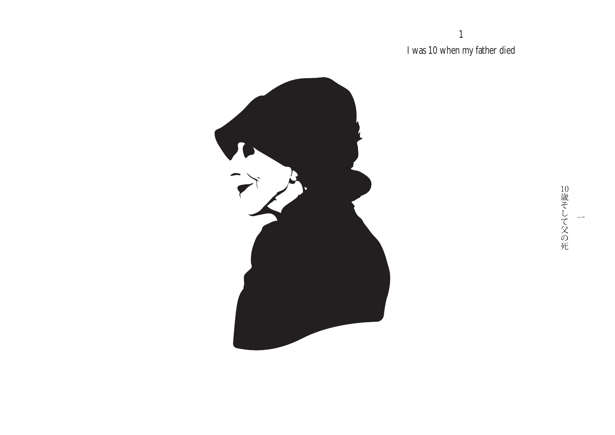1 I was 10 when my father died



10歳そして父の死  $\overline{\phantom{a}}$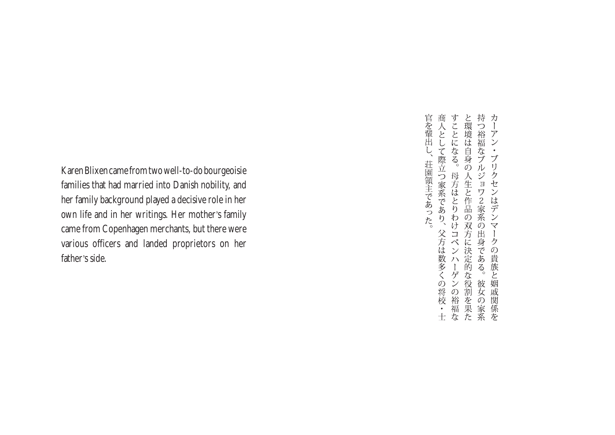Karen Blixen came from two well-to-do bourgeoisie families that had married into Danish nobility, and her family background played a decisive role in her own life and in her writings. Her mother's family came from Copenhagen merchants, but there were various officers and landed proprietors on her father's side.

商人として際立つ家系であり、父方は数多くの将校・士すことになる。母方はとりわけコペンハーゲンの裕福なと環境は自身の人生と作品の双方に決定的な役割を果た持つ裕福なブルジョワ2家系の出身である。彼女の家系カーアン・ブリクセンはデンマークの貴族と姻戚関係を 官を輩出し、 荘園領主であった。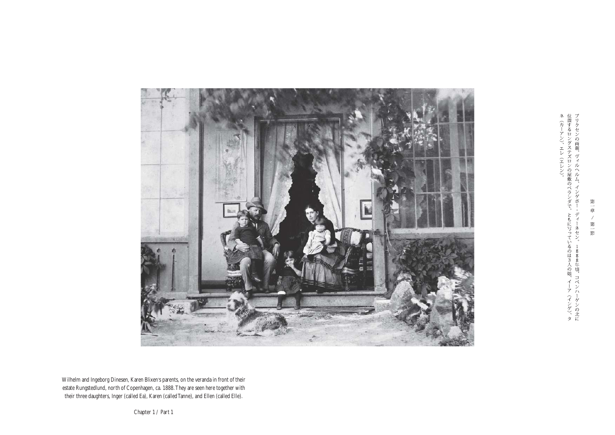

Wilhelm and Ingeborg Dinesen, Karen Blixen's parents, on the veranda in front of their estate Rungstedlund, north of Copenhagen, ca. 1888. They are seen here together with their three daughters, Inger (called Ea), Karen (calledTanne), and Ellen (called Elle).

第一章

 $\mathcal{J}$ 第一節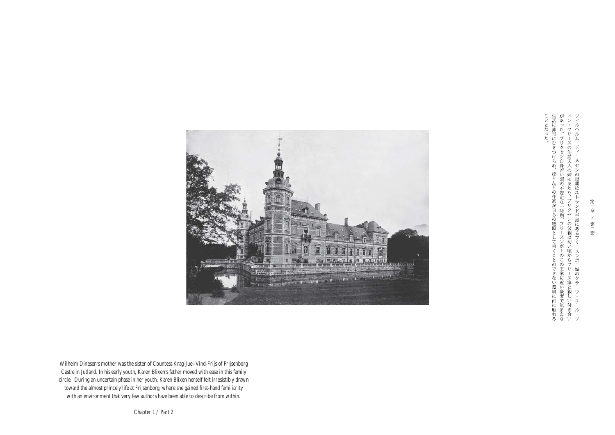こととなった。「ひきつけられ、ほとんどの作家が自らの経験として書くことのできない環境に直に触れる生活に非常にひきつけられ、ほとんどの作家が言い時期、フリースンボーのこの王家に近い豪奢で気ままなィン・フリースの伯爵夫人の姉にあたり、ブリクセンの父親は幼い頃からフリース家と親しい付き合いヴィルヘルム・ディーネセンの母親はユトランド半島にあるフリースンボー城のクラーウ・ユール・ヴ



Wilhelm Dinesen's mother was the sister of Countess Krag-Juel-Vind-Frijs of Frijsenborg Castle in Jutland. In his early youth, Karen Blixen's father moved with ease in this family circle. During an uncertain phase in her youth, Karen Blixen herself felt irresistibly drawn toward the almost princely life at Frijsenborg, where she gained first-hand familiarity with an environment that very few authors have been able to describe from within.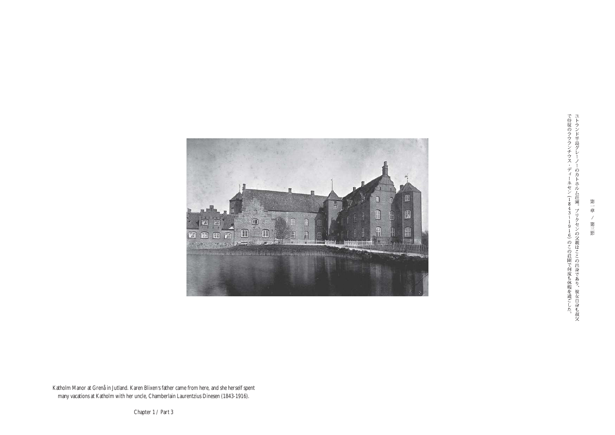

で侍従のラウランチウス・ディーネセン (1843~1916) のこの荘園で何度も休暇を過ごした。ユトランド半島グレーノーのカトホル厶荘園。ブリクセンの父親はここの出身であり、彼女自身も叔父

第一章

 $\mathcal{L}$ 

第三節

Katholm Manor at Grenå in Jutland. Karen Blixen's father came from here, and she herself spent many vacations at Katholm with her uncle, Chamberlain Laurentzius Dinesen (1843-1916).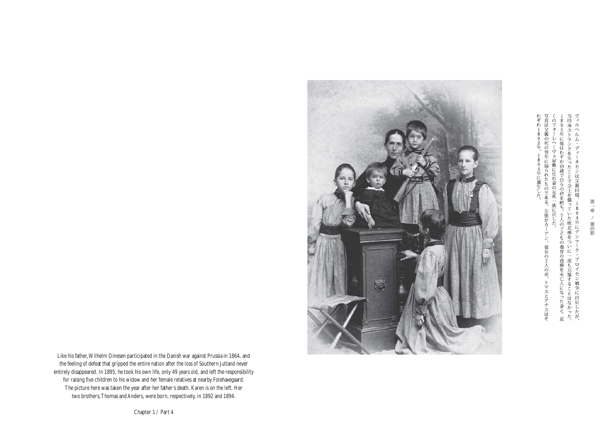当 <のフォーレヘーヴェ屋敷に住む妻の女系一族に託した。<br>-895年に彼はわずか49歳で自らの命を絶ち、5人の子どもの養育の責務を未亡人になった妻と、近『時南ユトランドを失ったことで全土を襲っていた敗北感をついに一度も克服することはなかった。バイルヘルム・ディーネセンは父親同様、1864年にデンマーク・プロイセン戦争に出征したが、

れぞれ1892年、 真は父親の死の翌年に撮られたものである。 1894年に誕生した。 左側がカーアン。彼女の2人の弟、トマスとアナスはそ



Like his father,Wilhelm Dinesen participated in the Danish war against Prussia in 1864, and the feeling of defeat that gripped the entire nation after the loss of Southern Jutland never entirely disappeared. In 1895, he took his own life, only 49 years old, and left the responsibility for raising five children to his widow and her female relatives at nearby Folehavegaard. The picture here was taken the year after her father's death. Karen is on the left. Her two brothers, Thomas and Anders, were born, respectively, in 1892 and 1894.

Chapter 1 / Part 4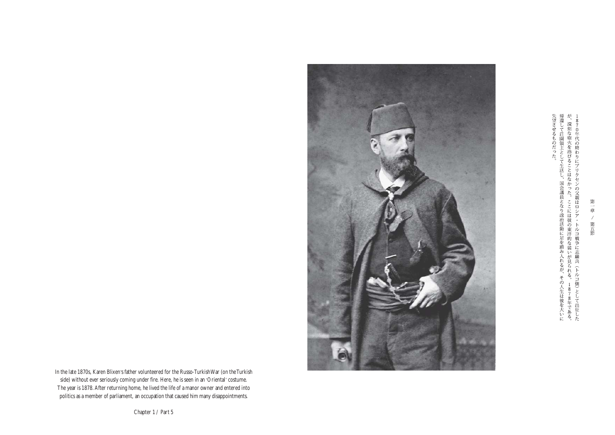失望させるものだった。と、「国会議員となり政治活動に足を踏み入れるが、その人生は彼を大いに帰還して荘園領主として生活し、国会議員となり政治活動に足を踏み入れるが、その人生は彼を大いにが、深刻な砲火を浴びることはなかった。ここには彼の東洋的な装いが見られる。1878年である。1870年代の終わりにブリクセンの父親はロシア・トルコ戦争に志願兵(トルコ側)として出征した



In the late 1870s, Karen Blixen's father volunteered for the Russo-TurkishWar (on theTurkish side) without ever seriously coming under fire. Here, he is seen in an 'Oriental'costume. The year is 1878.After returning home, he lived the life of a manor owner and entered into politics as a member of parliament, an occupation that caused him many disappointments.